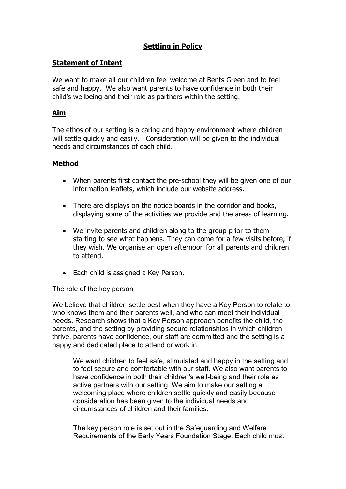# Settling in Policy

## Statement of Intent

We want to make all our children feel welcome at Bents Green and to feel safe and happy. We also want parents to have confidence in both their child's wellbeing and their role as partners within the setting.

# Aim

The ethos of our setting is a caring and happy environment where children will settle quickly and easily. Consideration will be given to the individual needs and circumstances of each child.

## Method

- When parents first contact the pre-school they will be given one of our information leaflets, which include our website address.
- There are displays on the notice boards in the corridor and books, displaying some of the activities we provide and the areas of learning.
- We invite parents and children along to the group prior to them starting to see what happens. They can come for a few visits before, if they wish. We organise an open afternoon for all parents and children to attend.
- Each child is assigned a Key Person.

#### The role of the key person

We believe that children settle best when they have a Key Person to relate to, who knows them and their parents well, and who can meet their individual needs. Research shows that a Key Person approach benefits the child, the parents, and the setting by providing secure relationships in which children thrive, parents have confidence, our staff are committed and the setting is a happy and dedicated place to attend or work in.

 We want children to feel safe, stimulated and happy in the setting and to feel secure and comfortable with our staff. We also want parents to have confidence in both their children's well-being and their role as active partners with our setting. We aim to make our setting a welcoming place where children settle quickly and easily because consideration has been given to the individual needs and circumstances of children and their families.

 The key person role is set out in the Safeguarding and Welfare Requirements of the Early Years Foundation Stage. Each child must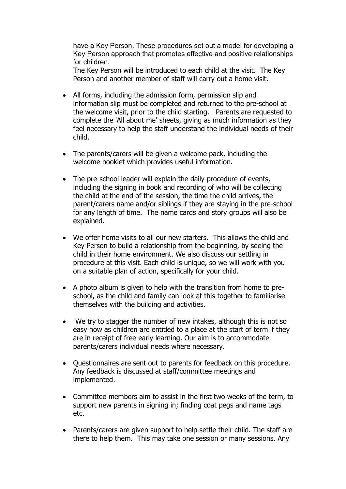have a Key Person. These procedures set out a model for developing a Key Person approach that promotes effective and positive relationships for children.

 The Key Person will be introduced to each child at the visit. The Key Person and another member of staff will carry out a home visit.

- All forms, including the admission form, permission slip and information slip must be completed and returned to the pre-school at the welcome visit, prior to the child starting. Parents are requested to complete the 'All about me' sheets, giving as much information as they feel necessary to help the staff understand the individual needs of their child.
- The parents/carers will be given a welcome pack, including the welcome booklet which provides useful information.
- The pre-school leader will explain the daily procedure of events, including the signing in book and recording of who will be collecting the child at the end of the session, the time the child arrives, the parent/carers name and/or siblings if they are staying in the pre-school for any length of time. The name cards and story groups will also be explained.
- We offer home visits to all our new starters. This allows the child and Key Person to build a relationship from the beginning, by seeing the child in their home environment. We also discuss our settling in procedure at this visit. Each child is unique, so we will work with you on a suitable plan of action, specifically for your child.
- A photo album is given to help with the transition from home to preschool, as the child and family can look at this together to familiarise themselves with the building and activities.
- We try to stagger the number of new intakes, although this is not so easy now as children are entitled to a place at the start of term if they are in receipt of free early learning. Our aim is to accommodate parents/carers individual needs where necessary.
- Questionnaires are sent out to parents for feedback on this procedure. Any feedback is discussed at staff/committee meetings and implemented.
- Committee members aim to assist in the first two weeks of the term, to support new parents in signing in; finding coat pegs and name tags etc.
- Parents/carers are given support to help settle their child. The staff are there to help them. This may take one session or many sessions. Any